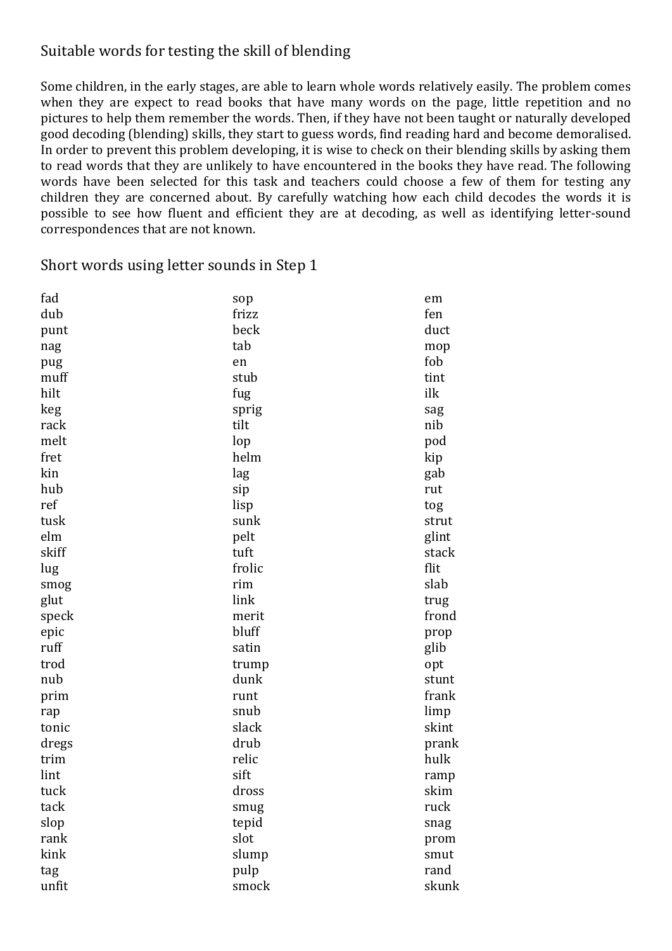#### Suitable words for testing the skill of blending

Some children, in the early stages, are able to learn whole words relatively easily. The problem comes when they are expect to read books that have many words on the page, little repetition and no pictures to help them remember the words. Then, if they have not been taught or naturally developed good decoding (blending) skills, they start to guess words, find reading hard and become demoralised. In order to prevent this problem developing, it is wise to check on their blending skills by asking them to read words that they are unlikely to have encountered in the books they have read. The following words have been selected for this task and teachers could choose a few of them for testing any children they are concerned about. By carefully watching how each child decodes the words it is possible to see how fluent and efficient they are at decoding, as well as identifying letter-sound correspondences that are not known.

Short words using letter sounds in Step 1

| fad   | sop    | em    |
|-------|--------|-------|
| dub   | frizz  | fen   |
| punt  | beck   | duct  |
| nag   | tab    | mop   |
| pug   | en     | fob   |
| muff  | stub   | tint  |
| hilt  | fug    | ilk   |
| keg   | sprig  | sag   |
| rack  | tilt   | nib   |
| melt  | lop    | pod   |
| fret  | helm   | kip   |
| kin   | lag    | gab   |
| hub   | sip    | rut   |
| ref   | lisp   | tog   |
| tusk  | sunk   | strut |
| elm   | pelt   | glint |
| skiff | tuft   | stack |
| lug   | frolic | flit  |
| smog  | rim    | slab  |
| glut  | link   | trug  |
| speck | merit  | frond |
| epic  | bluff  | prop  |
| ruff  | satin  | glib  |
| trod  | trump  | opt   |
| nub   | dunk   | stunt |
| prim  | runt   | frank |
| rap   | snub   | limp  |
| tonic | slack  | skint |
| dregs | drub   | prank |
| trim  | relic  | hulk  |
| lint  | sift   | ramp  |
| tuck  | dross  | skim  |
| tack  | smug   | ruck  |
| slop  | tepid  | snag  |
| rank  | slot   | prom  |
| kink  | slump  | smut  |
| tag   | pulp   | rand  |
| unfit | smock  | skunk |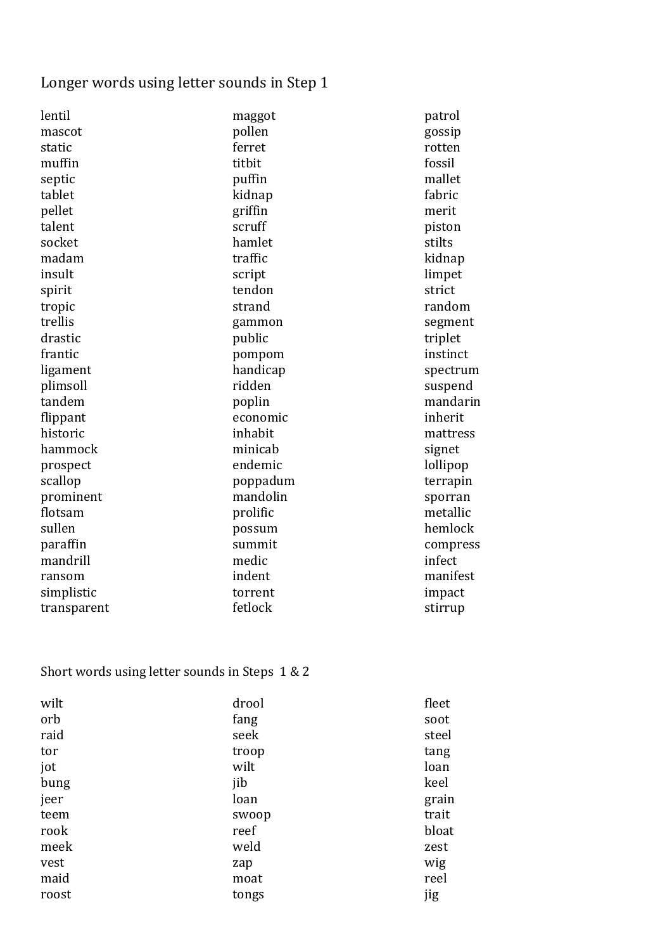# Longer words using letter sounds in Step 1

| lentil      | maggot   | patrol   |
|-------------|----------|----------|
| mascot      | pollen   | gossip   |
| static      | ferret   | rotten   |
| muffin      | titbit   | fossil   |
| septic      | puffin   | mallet   |
| tablet      | kidnap   | fabric   |
| pellet      | griffin  | merit    |
| talent      | scruff   | piston   |
| socket      | hamlet   | stilts   |
| madam       | traffic  | kidnap   |
| insult      | script   | limpet   |
| spirit      | tendon   | strict   |
| tropic      | strand   | random   |
| trellis     | gammon   | segment  |
| drastic     | public   | triplet  |
| frantic     | pompom   | instinct |
| ligament    | handicap | spectrum |
| plimsoll    | ridden   | suspend  |
| tandem      | poplin   | mandarin |
| flippant    | economic | inherit  |
| historic    | inhabit  | mattress |
| hammock     | minicab  | signet   |
| prospect    | endemic  | lollipop |
| scallop     | poppadum | terrapin |
| prominent   | mandolin | sporran  |
| flotsam     | prolific | metallic |
| sullen      | possum   | hemlock  |
| paraffin    | summit   | compress |
| mandrill    | medic    | infect   |
| ransom      | indent   | manifest |
| simplistic  | torrent  | impact   |
| transparent | fetlock  | stirrup  |

## Short words using letter sounds in Steps  $1 & 2$

| wilt  | drool | fleet |
|-------|-------|-------|
| orb   | fang  | soot  |
| raid  | seek  | steel |
| tor   | troop | tang  |
| jot   | wilt  | loan  |
| bung  | jib   | keel  |
| jeer  | loan  | grain |
| teem  | swoop | trait |
| rook  | reef  | bloat |
| meek  | weld  | zest  |
| vest  | zap   | wig   |
| maid  | moat  | reel  |
| roost | tongs | jig   |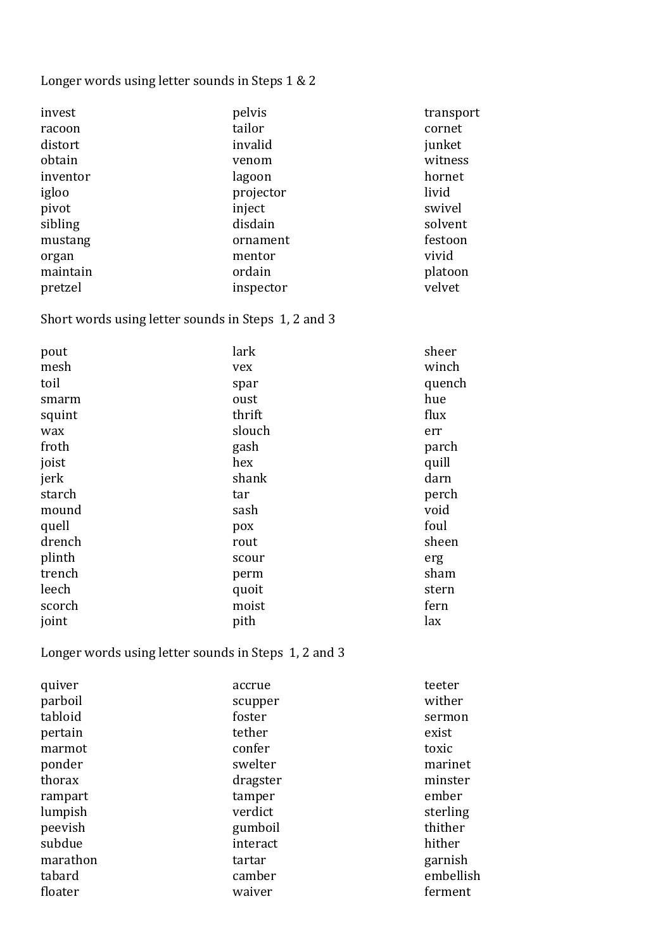### Longer words using letter sounds in Steps 1 & 2

| pelvis    | transport |
|-----------|-----------|
| tailor    | cornet    |
| invalid   | junket    |
| venom     | witness   |
| lagoon    | hornet    |
| projector | livid     |
| inject    | swivel    |
| disdain   | solvent   |
| ornament  | festoon   |
| mentor    | vivid     |
| ordain    | platoon   |
| inspector | velvet    |
|           |           |

## Short words using letter sounds in Steps 1, 2 and 3

| pout   | lark   | sheer  |
|--------|--------|--------|
| mesh   | vex    | winch  |
| toil   | spar   | quench |
| smarm  | oust   | hue    |
| squint | thrift | flux   |
| wax    | slouch | err    |
| froth  | gash   | parch  |
| joist  | hex    | quill  |
| jerk   | shank  | darn   |
| starch | tar    | perch  |
| mound  | sash   | void   |
| quell  | pox    | foul   |
| drench | rout   | sheen  |
| plinth | scour  | erg    |
| trench | perm   | sham   |
| leech  | quoit  | stern  |
| scorch | moist  | fern   |
| joint  | pith   | lax    |

## Longer words using letter sounds in Steps 1, 2 and 3

| quiver   | accrue   | teeter    |
|----------|----------|-----------|
| parboil  | scupper  | wither    |
| tabloid  | foster   | sermon    |
| pertain  | tether   | exist     |
| marmot   | confer   | toxic     |
| ponder   | swelter  | marinet   |
| thorax   | dragster | minster   |
| rampart  | tamper   | ember     |
| lumpish  | verdict  | sterling  |
| peevish  | gumboil  | thither   |
| subdue   | interact | hither    |
| marathon | tartar   | garnish   |
| tabard   | camber   | embellish |
| floater  | waiver   | ferment   |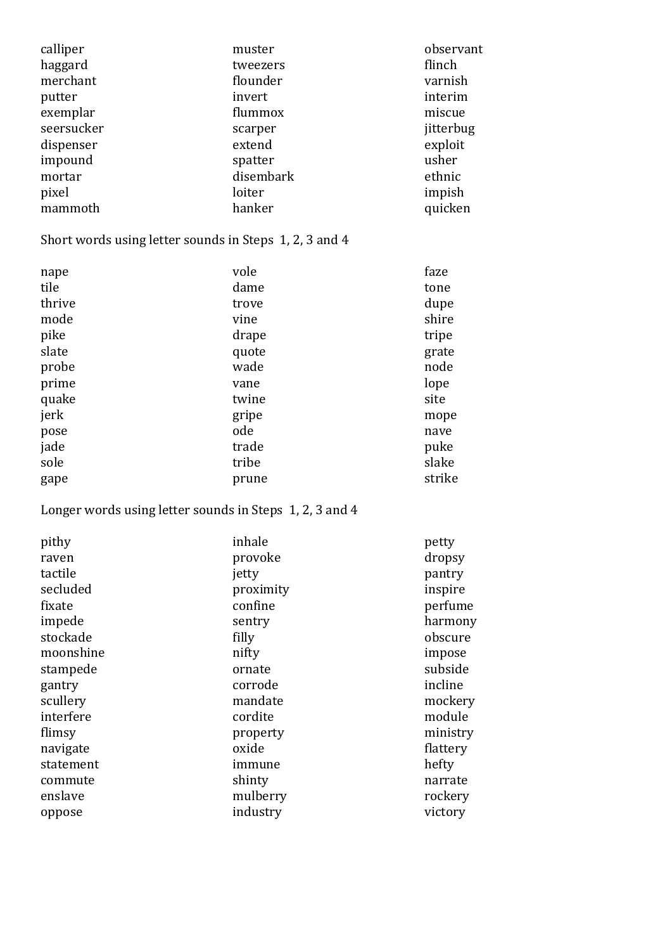| calliper   | muster    | observant |
|------------|-----------|-----------|
| haggard    | tweezers  | flinch    |
| merchant   | flounder  | varnish   |
| putter     | invert    | interim   |
| exemplar   | flummox   | miscue    |
| seersucker | scarper   | jitterbug |
| dispenser  | extend    | exploit   |
| impound    | spatter   | usher     |
| mortar     | disembark | ethnic    |
| pixel      | loiter    | impish    |
| mammoth    | hanker    | quicken   |

Short words using letter sounds in Steps 1, 2, 3 and 4

| nape   | vole  | faze   |
|--------|-------|--------|
| tile   | dame  | tone   |
| thrive | trove | dupe   |
| mode   | vine  | shire  |
| pike   | drape | tripe  |
| slate  | quote | grate  |
| probe  | wade  | node   |
| prime  | vane  | lope   |
| quake  | twine | site   |
| jerk   | gripe | mope   |
| pose   | ode   | nave   |
| jade   | trade | puke   |
| sole   | tribe | slake  |
| gape   | prune | strike |

### Longer words using letter sounds in Steps 1, 2, 3 and 4

| pithy     | inhale    | petty    |
|-----------|-----------|----------|
| raven     | provoke   | dropsy   |
| tactile   | jetty     | pantry   |
| secluded  | proximity | inspire  |
| fixate    | confine   | perfume  |
| impede    | sentry    | harmony  |
| stockade  | filly     | obscure  |
| moonshine | nifty     | impose   |
| stampede  | ornate    | subside  |
| gantry    | corrode   | incline  |
| scullery  | mandate   | mockery  |
| interfere | cordite   | module   |
| flimsy    | property  | ministry |
| navigate  | oxide     | flattery |
| statement | immune    | hefty    |
| commute   | shinty    | narrate  |
| enslave   | mulberry  | rockery  |
| oppose    | industry  | victory  |